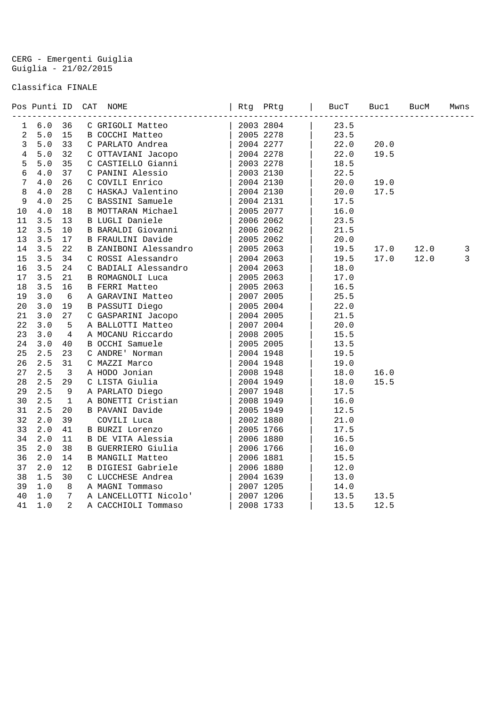CERG - Emergenti Guiglia Guiglia - 21/02/2015

## Classifica FINALE

|                | Pos Punti ID |                | CAT<br><b>NOME</b>      | Rtg PRtg  | BucT | Buc1 | BucM | Mwns         |
|----------------|--------------|----------------|-------------------------|-----------|------|------|------|--------------|
| 1              | $6.0$        | 36             | C GRIGOLI Matteo        | 2003 2804 | 23.5 |      |      |              |
| 2              | 5.0          | 15             | B COCCHI Matteo         | 2005 2278 | 23.5 |      |      |              |
| $\mathfrak{Z}$ | $5.0$        | 33             | C PARLATO Andrea        | 2004 2277 | 22.0 | 20.0 |      |              |
| $\overline{4}$ | 5.0          | 32             | C OTTAVIANI Jacopo      | 2004 2278 | 22.0 | 19.5 |      |              |
| 5              | $5.0$        | 35             | C CASTIELLO Gianni      | 2003 2278 | 18.5 |      |      |              |
| 6              | 4.0          | 37             | C PANINI Alessio        | 2003 2130 | 22.5 |      |      |              |
| 7              | 4.0          | 26             | C COVILI Enrico         | 2004 2130 | 20.0 | 19.0 |      |              |
| 8              | 4.0          | 28             | C HASKAJ Valentino      | 2004 2130 | 20.0 | 17.5 |      |              |
| 9              | $4.0$        | 25             | C BASSINI Samuele       | 2004 2131 | 17.5 |      |      |              |
| $10$           | 4.0          | 18             | B MOTTARAN Michael      | 2005 2077 | 16.0 |      |      |              |
| 11             | 3.5          | 13             | B LUGLI Daniele         | 2006 2062 | 23.5 |      |      |              |
| 12             | 3.5          | 10             | B BARALDI Giovanni      | 2006 2062 | 21.5 |      |      |              |
| 13             | 3.5          | 17             | B FRAULINI Davide       | 2005 2062 | 20.0 |      |      |              |
| 14             | 3.5          | 22             | B ZANIBONI Alessandro   | 2005 2063 | 19.5 | 17.0 | 12.0 | $\mathbf{3}$ |
| 15             | 3.5          | 34             | C ROSSI Alessandro      | 2004 2063 | 19.5 | 17.0 | 12.0 | 3            |
| 16             | 3.5          | 24             | C BADIALI Alessandro    | 2004 2063 | 18.0 |      |      |              |
| 17             | 3.5          | 21             | B ROMAGNOLI Luca        | 2005 2063 | 17.0 |      |      |              |
| 18             | 3.5          | 16             | <b>B FERRI Matteo</b>   | 2005 2063 | 16.5 |      |      |              |
| 19             | 3.0          | 6              | A GARAVINI Matteo       | 2007 2005 | 25.5 |      |      |              |
| 20             | 3.0          | 19             | B PASSUTI Diego         | 2005 2004 | 22.0 |      |      |              |
| 21             | 3.0          | 27             | C GASPARINI Jacopo      | 2004 2005 | 21.5 |      |      |              |
| 22             | 3.0          | 5              | A BALLOTTI Matteo       | 2007 2004 | 20.0 |      |      |              |
| 23             | 3.0          | 4              | A MOCANU Riccardo       | 2008 2005 | 15.5 |      |      |              |
| 24             | 3.0          | 40             | B OCCHI Samuele         | 2005 2005 | 13.5 |      |      |              |
| 25             | 2.5          | 23             | C ANDRE' Norman         | 2004 1948 | 19.5 |      |      |              |
| 26             | 2.5          | 31             | C MAZZI Marco           | 2004 1948 | 19.0 |      |      |              |
| 27             | 2.5          | 3              | A HODO Jonian           | 2008 1948 | 18.0 | 16.0 |      |              |
| 28             | 2.5          | 29             | C LISTA Giulia          | 2004 1949 | 18.0 | 15.5 |      |              |
| 29             | 2.5          | 9              | A PARLATO Diego         | 2007 1948 | 17.5 |      |      |              |
| 30             | 2.5          | $\mathbf 1$    | A BONETTI Cristian      | 2008 1949 | 16.0 |      |      |              |
| 31             | 2.5          | 20             | B PAVANI Davide         | 2005 1949 | 12.5 |      |      |              |
| 32             | 2.0          | 39             | COVILI Luca             | 2002 1880 | 21.0 |      |      |              |
| 33             | 2.0          | 41             | B BURZI Lorenzo         | 2005 1766 | 17.5 |      |      |              |
| 34             | 2.0          | 11             | B DE VITA Alessia       | 2006 1880 | 16.5 |      |      |              |
| 35             | 2.0          | 38             | B GUERRIERO Giulia      | 2006 1766 | 16.0 |      |      |              |
| 36             | 2.0          | 14             | <b>B MANGILI Matteo</b> | 2006 1881 | 15.5 |      |      |              |
| 37             | 2.0          | 12             | B DIGIESI Gabriele      | 2006 1880 | 12.0 |      |      |              |
| 38             | 1.5          | 30             | C LUCCHESE Andrea       | 2004 1639 | 13.0 |      |      |              |
| 39             | $1.0\,$      | 8              | A MAGNI Tommaso         | 2007 1205 | 14.0 |      |      |              |
| 40             | 1.0          | 7              | A LANCELLOTTI Nicolo'   | 2007 1206 | 13.5 | 13.5 |      |              |
| 41             | 1.0          | $\overline{2}$ | A CACCHIOLI Tommaso     | 2008 1733 | 13.5 | 12.5 |      |              |